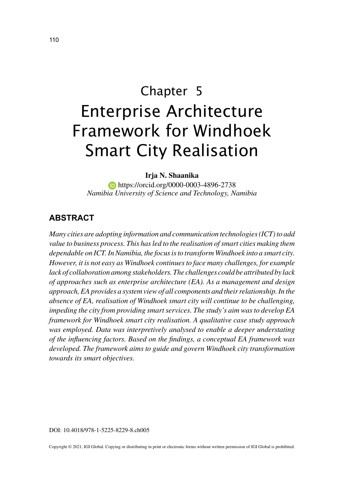# Chapter 5 Enterprise Architecture Framework for Windhoek Smart City Realisation

**Irja N. Shaanika**

**https://orcid.org/0000-0003-4896-2738** *Namibia University of Science and Technology, Namibia*

#### **ABSTRACT**

*Many cities are adopting information and communication technologies (ICT) to add value to business process. This has led to the realisation of smart cities making them dependable on ICT. In Namibia, the focus is to transform Windhoek into a smart city. However, it is not easy as Windhoek continues to face many challenges, for example lack of collaboration among stakeholders. The challenges could be attributed by lack of approaches such as enterprise architecture (EA). As a management and design approach, EA provides a system view of all components and their relationship. In the absence of EA, realisation of Windhoek smart city will continue to be challenging, impeding the city from providing smart services. The study's aim was to develop EA framework for Windhoek smart city realisation. A qualitative case study approach was employed. Data was interpretively analysed to enable a deeper understating of the influencing factors. Based on the findings, a conceptual EA framework was developed. The framework aims to guide and govern Windhoek city transformation towards its smart objectives.*

Copyright © 2021, IGI Global. Copying or distributing in print or electronic forms without written permission of IGI Global is prohibited.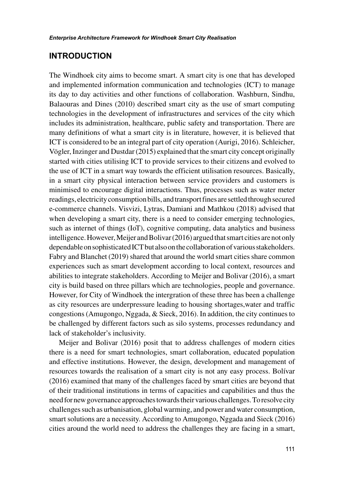#### **INTRODUCTION**

The Windhoek city aims to become smart. A smart city is one that has developed and implemented information communication and technologies (ICT) to manage its day to day activities and other functions of collaboration. Washburn, Sindhu, Balaouras and Dines (2010) described smart city as the use of smart computing technologies in the development of infrastructures and services of the city which includes its administration, healthcare, public safety and transportation. There are many definitions of what a smart city is in literature, however, it is believed that ICT is considered to be an integral part of city operation (Aurigi, 2016). Schleicher, Vögler, Inzinger and Dustdar (2015) explained that the smart city concept originally started with cities utilising ICT to provide services to their citizens and evolved to the use of ICT in a smart way towards the efficient utilisation resources. Basically, in a smart city physical interaction between service providers and customers is minimised to encourage digital interactions. Thus, processes such as water meter readings, electricity consumption bills, and transport fines are settled through secured e-commerce channels. Visvizi, Lytras, Damiani and Mathkou (2018) advised that when developing a smart city, there is a need to consider emerging technologies, such as internet of things (IoT), cognitive computing, data analytics and business intelligence. However, Meijer and Bolivar (2016) argued that smart cities are not only dependable on sophisticated ICT but also on the collaboration of various stakeholders. Fabry and Blanchet (2019) shared that around the world smart cities share common experiences such as smart development according to local context, resources and abilities to integrate stakeholders. According to Meijer and Bolivar (2016), a smart city is build based on three pillars which are technologies, people and governance. However, for City of Windhoek the intergration of these three has been a challenge as city resources are underpressure leading to housing shortages,water and traffic congestions (Amugongo, Nggada, & Sieck, 2016). In addition, the city continues to be challenged by different factors such as silo systems, processes redundancy and lack of stakeholder's inclusivity.

Meijer and Bolivar (2016) posit that to address challenges of modern cities there is a need for smart technologies, smart collaboration, educated population and effective institutions. However, the design, development and management of resources towards the realisation of a smart city is not any easy process. Bolívar (2016) examined that many of the challenges faced by smart cities are beyond that of their traditional institutions in terms of capacities and capabilities and thus the need for new governance approaches towards their various challenges. To resolve city challenges such as urbanisation, global warming, and power and water consumption, smart solutions are a necessity. According to Amugongo, Nggada and Sieck (2016) cities around the world need to address the challenges they are facing in a smart,